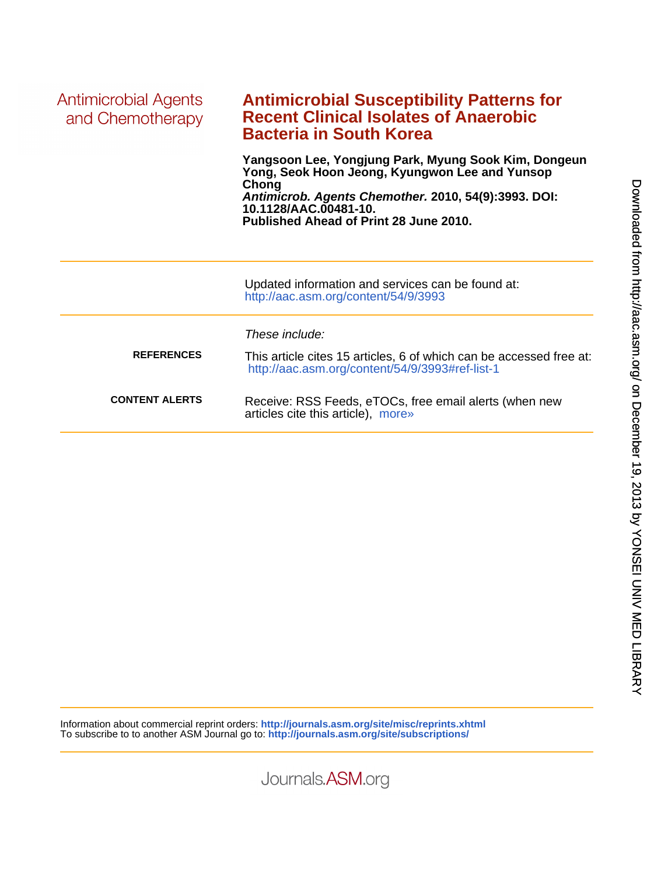| Antimicrobial Agents<br>and Chemotherapy | <b>Antimicrobial Susceptibility Patterns for</b><br><b>Recent Clinical Isolates of Anaerobic</b><br><b>Bacteria in South Korea</b>                                                                                                         |  |  |  |  |
|------------------------------------------|--------------------------------------------------------------------------------------------------------------------------------------------------------------------------------------------------------------------------------------------|--|--|--|--|
|                                          | Yangsoon Lee, Yongjung Park, Myung Sook Kim, Dongeun<br>Yong, Seok Hoon Jeong, Kyungwon Lee and Yunsop<br>Chong<br>Antimicrob. Agents Chemother. 2010, 54(9):3993. DOI:<br>10.1128/AAC.00481-10.<br>Published Ahead of Print 28 June 2010. |  |  |  |  |
|                                          | Updated information and services can be found at:<br>http://aac.asm.org/content/54/9/3993                                                                                                                                                  |  |  |  |  |
|                                          | These include:                                                                                                                                                                                                                             |  |  |  |  |
| <b>REFERENCES</b>                        | This article cites 15 articles, 6 of which can be accessed free at:<br>http://aac.asm.org/content/54/9/3993#ref-list-1                                                                                                                     |  |  |  |  |
| <b>CONTENT ALERTS</b>                    | Receive: RSS Feeds, eTOCs, free email alerts (when new<br>articles cite this article), more»                                                                                                                                               |  |  |  |  |

Information about commercial reprint orders: **<http://journals.asm.org/site/misc/reprints.xhtml>** To subscribe to to another ASM Journal go to: **<http://journals.asm.org/site/subscriptions/>**

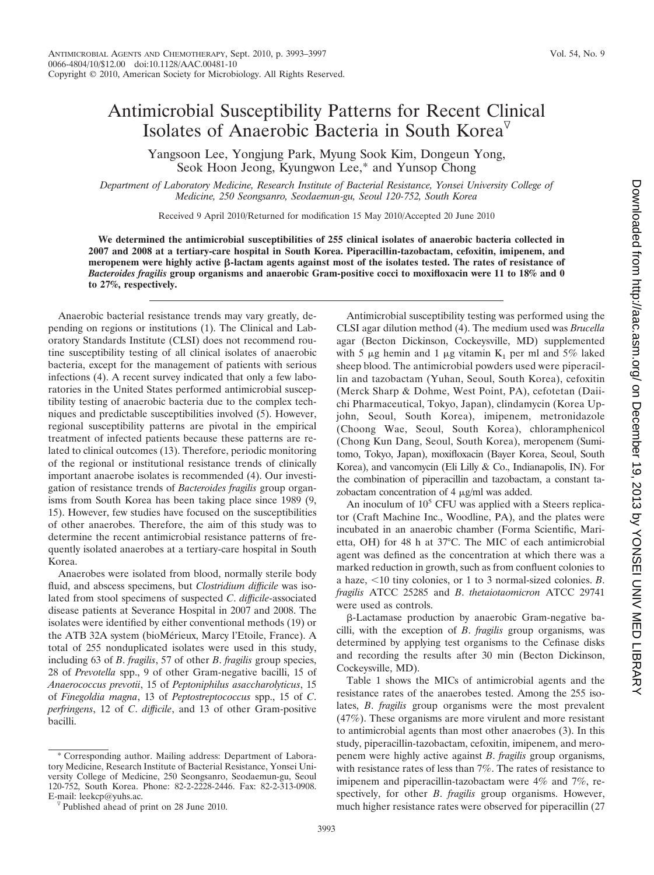## Antimicrobial Susceptibility Patterns for Recent Clinical Isolates of Anaerobic Bacteria in South Korea<sup> $\triangledown$ </sup>

Yangsoon Lee, Yongjung Park, Myung Sook Kim, Dongeun Yong, Seok Hoon Jeong, Kyungwon Lee,\* and Yunsop Chong

*Department of Laboratory Medicine, Research Institute of Bacterial Resistance, Yonsei University College of Medicine, 250 Seongsanro, Seodaemun-gu, Seoul 120-752, South Korea*

Received 9 April 2010/Returned for modification 15 May 2010/Accepted 20 June 2010

**We determined the antimicrobial susceptibilities of 255 clinical isolates of anaerobic bacteria collected in 2007 and 2008 at a tertiary-care hospital in South Korea. Piperacillin-tazobactam, cefoxitin, imipenem, and** meropenem were highly active  $\beta$ -lactam agents against most of the isolates tested. The rates of resistance of *Bacteroides fragilis* **group organisms and anaerobic Gram-positive cocci to moxifloxacin were 11 to 18% and 0 to 27%, respectively.**

Anaerobic bacterial resistance trends may vary greatly, depending on regions or institutions (1). The Clinical and Laboratory Standards Institute (CLSI) does not recommend routine susceptibility testing of all clinical isolates of anaerobic bacteria, except for the management of patients with serious infections (4). A recent survey indicated that only a few laboratories in the United States performed antimicrobial susceptibility testing of anaerobic bacteria due to the complex techniques and predictable susceptibilities involved (5). However, regional susceptibility patterns are pivotal in the empirical treatment of infected patients because these patterns are related to clinical outcomes (13). Therefore, periodic monitoring of the regional or institutional resistance trends of clinically important anaerobe isolates is recommended (4). Our investigation of resistance trends of *Bacteroides fragilis* group organisms from South Korea has been taking place since 1989 (9, 15). However, few studies have focused on the susceptibilities of other anaerobes. Therefore, the aim of this study was to determine the recent antimicrobial resistance patterns of frequently isolated anaerobes at a tertiary-care hospital in South Korea.

Anaerobes were isolated from blood, normally sterile body fluid, and abscess specimens, but *Clostridium difficile* was isolated from stool specimens of suspected *C*. *difficile*-associated disease patients at Severance Hospital in 2007 and 2008. The isolates were identified by either conventional methods (19) or the ATB 32A system (bioMérieux, Marcy l'Etoile, France). A total of 255 nonduplicated isolates were used in this study, including 63 of *B*. *fragilis*, 57 of other *B*. *fragilis* group species, 28 of *Prevotella* spp., 9 of other Gram-negative bacilli, 15 of *Anaerococcus prevotii*, 15 of *Peptoniphilus asaccharolyticus*, 15 of *Finegoldia magna*, 13 of *Peptostreptococcus* spp., 15 of *C*. *perfringens*, 12 of *C*. *difficile*, and 13 of other Gram-positive bacilli.

\* Corresponding author. Mailing address: Department of Laboratory Medicine, Research Institute of Bacterial Resistance, Yonsei University College of Medicine, 250 Seongsanro, Seodaemun-gu, Seoul 120-752, South Korea. Phone: 82-2-2228-2446. Fax: 82-2-313-0908. E-mail: leekcp@yuhs.ac.

Antimicrobial susceptibility testing was performed using the CLSI agar dilution method (4). The medium used was *Brucella* agar (Becton Dickinson, Cockeysville, MD) supplemented with 5  $\mu$ g hemin and 1  $\mu$ g vitamin K<sub>1</sub> per ml and 5% laked sheep blood. The antimicrobial powders used were piperacillin and tazobactam (Yuhan, Seoul, South Korea), cefoxitin (Merck Sharp & Dohme, West Point, PA), cefotetan (Daiichi Pharmaceutical, Tokyo, Japan), clindamycin (Korea Upjohn, Seoul, South Korea), imipenem, metronidazole (Choong Wae, Seoul, South Korea), chloramphenicol (Chong Kun Dang, Seoul, South Korea), meropenem (Sumitomo, Tokyo, Japan), moxifloxacin (Bayer Korea, Seoul, South Korea), and vancomycin (Eli Lilly & Co., Indianapolis, IN). For the combination of piperacillin and tazobactam, a constant tazobactam concentration of  $4 \mu g/ml$  was added.

An inoculum of  $10<sup>5</sup>$  CFU was applied with a Steers replicator (Craft Machine Inc., Woodline, PA), and the plates were incubated in an anaerobic chamber (Forma Scientific, Marietta, OH) for 48 h at 37°C. The MIC of each antimicrobial agent was defined as the concentration at which there was a marked reduction in growth, such as from confluent colonies to a haze, -10 tiny colonies, or 1 to 3 normal-sized colonies. *B*. *fragilis* ATCC 25285 and *B*. *thetaiotaomicron* ATCC 29741 were used as controls.

-Lactamase production by anaerobic Gram-negative bacilli, with the exception of *B*. *fragilis* group organisms, was determined by applying test organisms to the Cefinase disks and recording the results after 30 min (Becton Dickinson, Cockeysville, MD).

Table 1 shows the MICs of antimicrobial agents and the resistance rates of the anaerobes tested. Among the 255 isolates, *B*. *fragilis* group organisms were the most prevalent (47%). These organisms are more virulent and more resistant to antimicrobial agents than most other anaerobes (3). In this study, piperacillin-tazobactam, cefoxitin, imipenem, and meropenem were highly active against *B*. *fragilis* group organisms, with resistance rates of less than 7%. The rates of resistance to imipenem and piperacillin-tazobactam were 4% and 7%, respectively, for other *B*. *fragilis* group organisms. However, much higher resistance rates were observed for piperacillin (27

Published ahead of print on 28 June 2010.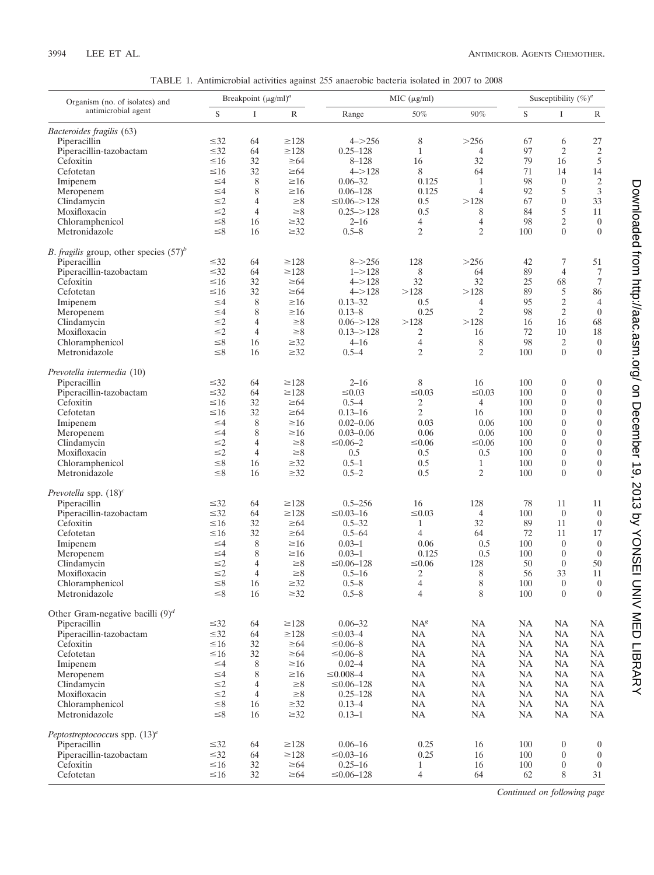| TABLE 1. Antimicrobial activities against 255 anaerobic bacteria isolated in 2007 to 2008 |  |  |
|-------------------------------------------------------------------------------------------|--|--|
|-------------------------------------------------------------------------------------------|--|--|

| Organism (no. of isolates) and<br>antimicrobial agent | Breakpoint $(\mu g/ml)^a$ |                |                        | MIC (µg/ml)              |                     |                      | Susceptibility $(\%)^a$ |                                  |                                    |
|-------------------------------------------------------|---------------------------|----------------|------------------------|--------------------------|---------------------|----------------------|-------------------------|----------------------------------|------------------------------------|
|                                                       | $\mathbf S$               | I              | $\mathbb R$            | Range                    | 50%                 | 90%                  | $\mathbf S$             | I                                | $\mathbb{R}$                       |
| Bacteroides fragilis (63)                             |                           |                |                        |                          |                     |                      |                         |                                  |                                    |
| Piperacillin                                          | $\leq 32$                 | 64             | $\geq$ 128             | $4 - > 256$              | 8                   | >256                 | 67                      | 6                                | 27                                 |
| Piperacillin-tazobactam                               | $\leq 32$                 | 64             | $\geq$ 128             | $0.25 - 128$             | $\mathbf{1}$        | $\overline{4}$       | 97                      | $\overline{c}$                   | $\sqrt{2}$                         |
| Cefoxitin                                             | $\leq 16$                 | 32             | $\geq 64$              | $8 - 128$                | 16                  | 32                   | 79                      | 16                               | $\sqrt{5}$                         |
| Cefotetan                                             | $\leq 16$                 | 32             | $\geq 64$              | $4 - > 128$              | 8                   | 64                   | 71                      | 14                               | 14                                 |
| Imipenem                                              | $\leq 4$                  | 8              | $\geq 16$              | $0.06 - 32$              | 0.125               | $\mathbf{1}$         | 98                      | $\boldsymbol{0}$                 | $\sqrt{2}$                         |
| Meropenem                                             | $\leq 4$                  | 8              | $\geq 16$              | $0.06 - 128$             | 0.125               | $\overline{4}$       | 92                      | 5                                | $\mathfrak{Z}$                     |
| Clindamycin                                           | $\leq$ 2                  | $\overline{4}$ | $\geq 8$               | $\leq 0.06 - 128$        | 0.5                 | >128                 | 67                      | $\boldsymbol{0}$                 | 33                                 |
| Moxifloxacin                                          | $\leq$ 2                  | $\overline{4}$ | $\geq 8$               | $0.25 - > 128$           | 0.5                 | 8                    | 84                      | 5                                | $11\,$                             |
| Chloramphenicol<br>Metronidazole                      | $\leq 8$<br>$\leq 8$      | 16<br>16       | $\geq 32$<br>$\geq 32$ | $2 - 16$<br>$0.5 - 8$    | 4<br>$\mathfrak{2}$ | 4<br>2               | 98<br>100               | $\mathbf{2}$<br>$\theta$         | $\boldsymbol{0}$<br>$\theta$       |
| <i>B. fragilis</i> group, other species $(57)^b$      |                           |                |                        |                          |                     |                      |                         |                                  |                                    |
| Piperacillin                                          | $\leq 32$                 | 64             | $\geq$ 128             | $8 - > 256$              | 128                 | >256                 | 42                      | 7                                | 51                                 |
| Piperacillin-tazobactam                               | $\leq 32$                 | 64             | $\geq$ 128             | $1 - > 128$              | 8                   | 64                   | 89                      | $\overline{4}$                   | $\tau$                             |
| Cefoxitin                                             | $\leq 16$                 | 32             | $\geq 64$              | $4 - > 128$              | 32                  | 32                   | 25                      | 68                               | $\tau$                             |
| Cefotetan                                             | $\leq 16$                 | 32             | $\geq 64$              | $4 - > 128$              | >128                | >128                 | 89                      | 5                                | 86                                 |
| Imipenem                                              | $\leq 4$                  | 8              | $\geq 16$              | $0.13 - 32$              | 0.5                 | 4                    | 95                      | $\sqrt{2}$                       | $\overline{4}$                     |
| Meropenem                                             | $\leq 4$                  | 8              | $\geq 16$              | $0.13 - 8$               | 0.25                | $\overline{c}$       | 98                      | $\mathbf{2}$                     | $\overline{0}$                     |
| Clindamycin                                           | $\leq$ 2                  | $\overline{4}$ | $\geq 8$               | $0.06 = > 128$           | >128                | >128                 | 16                      | 16                               | 68                                 |
| Moxifloxacin                                          | $\leq$ 2                  | $\overline{4}$ | $\geq 8$               | $0.13 - > 128$           | 2                   | 16                   | 72                      | 10                               | $18\,$                             |
| Chloramphenicol                                       | $\leq 8$                  | 16             | $\geq 32$              | $4 - 16$                 | $\overline{4}$      | $\,$ 8 $\,$          | 98                      | $\overline{c}$                   | $\boldsymbol{0}$                   |
| Metronidazole                                         | $\leq 8$                  | 16             | $\geq 32$              | $0.5 - 4$                | $\overline{2}$      | $\mathfrak{2}$       | 100                     | $\theta$                         | $\theta$                           |
| Prevotella intermedia (10)                            |                           |                |                        |                          |                     |                      |                         |                                  |                                    |
| Piperacillin                                          | $\leq 32$                 | 64             | $\geq$ 128             | $2 - 16$                 | 8                   | 16                   | 100                     | $\boldsymbol{0}$                 | $\boldsymbol{0}$                   |
| Piperacillin-tazobactam                               | $\leq 32$                 | 64             | $\geq$ 128             | $\leq 0.03$              | $\leq 0.03$         | $\leq 0.03$          | 100                     | $\overline{0}$                   | $\boldsymbol{0}$                   |
| Cefoxitin                                             | $\leq 16$                 | 32             | $\geq 64$              | $0.5 - 4$                | 2                   | $\overline{4}$       | 100                     | $\boldsymbol{0}$                 | $\boldsymbol{0}$                   |
| Cefotetan                                             | $\leq 16$                 | 32             | $\geq 64$              | $0.13 - 16$              | $\mathfrak{2}$      | 16                   | 100                     | $\mathbf{0}$                     | $\boldsymbol{0}$                   |
| Imipenem                                              | $\leq 4$                  | 8              | $\geq 16$              | $0.02 - 0.06$            | 0.03                | 0.06                 | 100                     | $\overline{0}$                   | $\boldsymbol{0}$                   |
| Meropenem                                             | $\leq 4$                  | 8              | $\geq 16$              | $0.03 - 0.06$            | 0.06                | 0.06                 | 100                     | $\mathbf{0}$                     | $\boldsymbol{0}$                   |
| Clindamycin                                           | $\leq$ 2                  | $\overline{4}$ | $\geq 8$               | $\leq 0.06 - 2$          | $≤0.06$             | $≤0.06$              | 100                     | $\overline{0}$                   | $\boldsymbol{0}$                   |
| Moxifloxacin                                          | $\leq$ 2                  | $\overline{4}$ | $\geq 8$               | 0.5                      | 0.5                 | 0.5                  | 100                     | $\mathbf{0}$                     | $\boldsymbol{0}$                   |
| Chloramphenicol<br>Metronidazole                      | $\leq 8$<br>$\leq 8$      | 16<br>16       | $\geq 32$<br>$\geq 32$ | $0.5 - 1$<br>$0.5 - 2$   | 0.5<br>0.5          | 1<br>2               | 100<br>100              | $\boldsymbol{0}$<br>$\mathbf{0}$ | $\boldsymbol{0}$<br>$\overline{0}$ |
|                                                       |                           |                |                        |                          |                     |                      |                         |                                  |                                    |
| Prevotella spp. $(18)^c$                              |                           |                |                        |                          |                     |                      |                         |                                  |                                    |
| Piperacillin                                          | $\leq 32$                 | 64             | $\geq$ 128             | $0.5 - 256$              | 16                  | 128                  | 78                      | 11                               | 11                                 |
| Piperacillin-tazobactam                               | $\leq 32$                 | 64             | $\geq$ 128             | $\leq 0.03 - 16$         | $\leq 0.03$         | $\overline{4}$<br>32 | 100                     | $\mathbf{0}$                     | $\overline{0}$                     |
| Cefoxitin<br>Cefotetan                                | $\leq 16$<br>$\leq 16$    | 32<br>32       | $\geq 64$<br>$\geq 64$ | $0.5 - 32$<br>$0.5 - 64$ | $\mathbf{1}$<br>4   | 64                   | 89<br>72                | 11<br>11                         | $\boldsymbol{0}$<br>17             |
| Imipenem                                              | $\leq 4$                  | 8              | $\geq 16$              | $0.03 - 1$               | 0.06                | 0.5                  | 100                     | $\boldsymbol{0}$                 | $\boldsymbol{0}$                   |
| Meropenem                                             | $\leq 4$                  | 8              | $\geq 16$              | $0.03 - 1$               | 0.125               | 0.5                  | 100                     | $\overline{0}$                   | $\overline{0}$                     |
| Clindamycin                                           | $\leq$ 2                  | $\overline{4}$ | $\geq 8$               | $\leq 0.06 - 128$        | $\leq 0.06$         | 128                  | 50                      | $\boldsymbol{0}$                 | 50                                 |
| Moxifloxacin                                          | $\leq$ 2                  | $\overline{4}$ | $\geq 8$               | $0.5 - 16$               | 2                   | 8                    | 56                      | 33                               | 11                                 |
| Chloramphenicol                                       | $\leq 8$                  | 16             | $\geq 32$              | $0.5 - 8$                | $\overline{4}$      | 8                    | 100                     | $\mathbf{0}$                     | $\boldsymbol{0}$                   |
| Metronidazole                                         | ${\leq}8$                 | 16             | $\geq$ 32              | $0.5 - 8$                | $\overline{4}$      | $\,$ 8 $\,$          | $100\,$                 | $\boldsymbol{0}$                 | $\boldsymbol{0}$                   |
| Other Gram-negative bacilli $(9)^d$                   |                           |                |                        |                          |                     |                      |                         |                                  |                                    |
| Piperacillin                                          | $\leq 32$                 | 64             | $\geq$ 128             | $0.06 - 32$              | $NA^g$              | NA                   | NA                      | <b>NA</b>                        | NA                                 |
| Piperacillin-tazobactam                               | $\leq 32$                 | 64             | $\geq128$              | $\leq 0.03 - 4$          | NA                  | NA                   | NA                      | <b>NA</b>                        | NA                                 |
| Cefoxitin                                             | $\leq 16$                 | 32             | $\geq 64$              | $\leq 0.06 - 8$          | NA                  | NA                   | NA                      | <b>NA</b>                        | NA                                 |
| Cefotetan                                             | $\leq 16$                 | 32             | $\geq 64$              | $\leq 0.06 - 8$          | NA                  | NA                   | NA                      | <b>NA</b>                        | NA                                 |
| Imipenem                                              | $\leq 4$                  | 8              | $\geq 16$              | $0.02 - 4$               | NA                  | NA                   | NA                      | <b>NA</b>                        | NA                                 |
| Meropenem                                             | $\leq 4$                  | 8              | $\geq 16$              | $\leq 0.008 - 4$         | NA                  | NA                   | NA                      | <b>NA</b>                        | NA                                 |
| Clindamycin                                           | $\leq$ 2                  | $\overline{4}$ | $\geq 8$               | $\leq 0.06 - 128$        | NA                  | NA                   | NA                      | <b>NA</b>                        | NA                                 |
| Moxifloxacin                                          | $\leq$ 2                  | $\overline{4}$ | $\geq 8$               | $0.25 - 128$             | NA                  | NA                   | NA                      | <b>NA</b>                        | NA                                 |
| Chloramphenicol                                       | $\leq 8$                  | 16             | $\geq$ 32              | $0.13 - 4$               | NA                  | NA                   | NA                      | <b>NA</b>                        | NA                                 |
| Metronidazole                                         | $\leq 8$                  | 16             | $\geq$ 32              | $0.13 - 1$               | $\rm NA$            | NA                   | NA                      | NA                               | NA                                 |
| Peptostreptococcus spp. $(13)^e$                      |                           |                |                        |                          |                     |                      |                         |                                  |                                    |
| Piperacillin                                          | $\leq 32$                 | 64             | ${\geq}128$            | $0.06 - 16$              | 0.25                | 16                   | 100                     | $\boldsymbol{0}$                 | $\mathbf{0}$                       |
| Piperacillin-tazobactam                               | $\leq 32$                 | 64             | $\geq128$              | $\leq 0.03 - 16$         | 0.25                | 16                   | 100                     | $\overline{0}$                   | $\overline{0}$                     |
| Cefoxitin                                             | $\leq 16$                 | 32             | $\geq 64$              | $0.25 - 16$              | $\mathbf{1}$        | 16                   | 100                     | $\boldsymbol{0}$                 | $\overline{0}$                     |
| Cefotetan                                             | $\leq 16$                 | 32             | $\geq 64$              | $\leq 0.06 - 128$        | 4                   | 64                   | 62                      | 8                                | 31                                 |

Downloaded from http://aac.asm.org/ on December 19, 2013 by YONSEI UNIV MED LIBRARY on December 19, 2013 by YONSEI UNIV MED LIBRARY <http://aac.asm.org/> Downloaded from

*Continued on following page*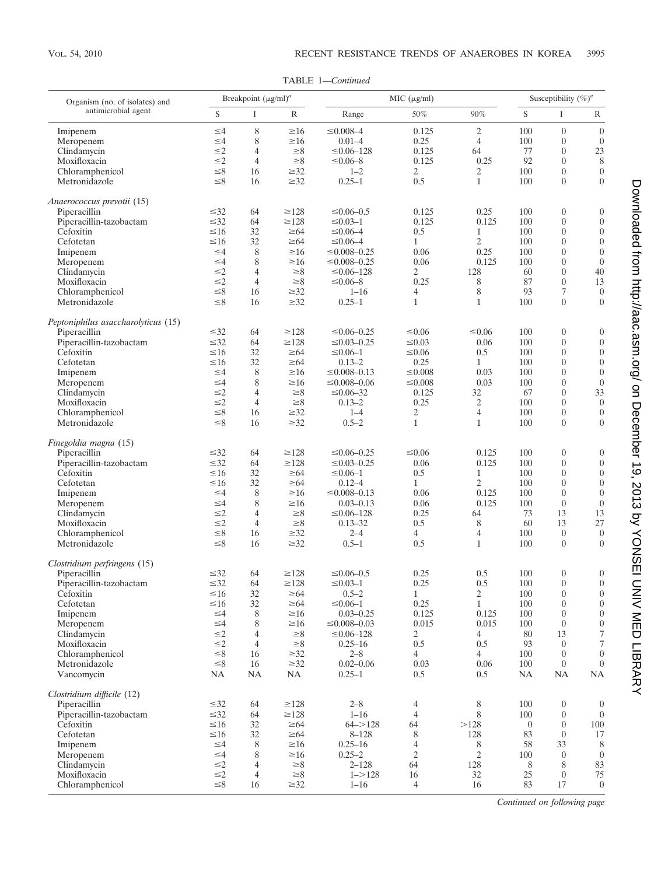TABLE 1—*Continued*

| Organism (no. of isolates) and       | Breakpoint $(\mu g/ml)^a$ |                     |                         | MIC (µg/ml)                            |                                |                                | Susceptibility $(\%)^a$ |                                      |                                      |
|--------------------------------------|---------------------------|---------------------|-------------------------|----------------------------------------|--------------------------------|--------------------------------|-------------------------|--------------------------------------|--------------------------------------|
| antimicrobial agent                  | S                         | $\bf{I}$            | $\mathbb R$             | Range                                  | 50%                            | 90%                            | S                       | $\rm I$                              | R                                    |
| Imipenem                             | $\leq 4$                  | 8                   | $\geq 16$               | $\leq 0.008 - 4$                       | 0.125                          | 2                              | 100                     | $\boldsymbol{0}$                     | $\boldsymbol{0}$                     |
| Meropenem                            | $\leq 4$                  | 8                   | $\geq 16$               | $0.01 - 4$                             | 0.25                           | $\overline{4}$                 | 100                     | $\boldsymbol{0}$                     | $\boldsymbol{0}$                     |
| Clindamycin                          | $\leq$ 2                  | $\overline{4}$      | $\geq 8$                | $\leq 0.06 - 128$                      | 0.125                          | 64                             | 77                      | $\boldsymbol{0}$                     | 23                                   |
| Moxifloxacin                         | $\leq$ 2                  | $\overline{4}$      | $\geq 8$                | $\leq 0.06 - 8$                        | 0.125                          | 0.25                           | 92                      | $\mathbf{0}$                         | 8                                    |
| Chloramphenicol                      | ${\leq}8$                 | 16                  | $\geq 32$               | $1 - 2$                                | 2                              | 2                              | 100                     | $\boldsymbol{0}$                     | $\boldsymbol{0}$                     |
| Metronidazole                        | $\leq 8$                  | 16                  | $\geq 32$               | $0.25 - 1$                             | 0.5                            | $\mathbf{1}$                   | 100                     | $\overline{0}$                       | $\boldsymbol{0}$                     |
| Anaerococcus prevotii (15)           |                           |                     |                         |                                        |                                |                                |                         |                                      |                                      |
| Piperacillin                         | $\leq 32$                 | 64                  | $\geq$ 128              | $\leq 0.06 - 0.5$                      | 0.125                          | 0.25                           | 100                     | $\boldsymbol{0}$                     | $\boldsymbol{0}$                     |
| Piperacillin-tazobactam              | $\leq 32$                 | 64                  | $\geq$ 128              | $\leq 0.03 - 1$                        | 0.125                          | 0.125                          | 100                     | $\boldsymbol{0}$                     | $\boldsymbol{0}$                     |
| Cefoxitin                            | $\leq 16$                 | 32                  | $\geq 64$               | $\leq 0.06 - 4$                        | 0.5                            | $\mathbf{1}$                   | 100                     | $\boldsymbol{0}$                     | $\boldsymbol{0}$                     |
| Cefotetan<br>Imipenem                | $\leq 16$<br>$\leq 4$     | 32<br>8             | $\geq 64$<br>$\geq 16$  | $\leq 0.06 - 4$<br>$\leq 0.008 - 0.25$ | $\mathbf{1}$<br>0.06           | $\overline{2}$<br>0.25         | 100<br>100              | $\mathbf{0}$<br>$\theta$             | $\boldsymbol{0}$<br>$\boldsymbol{0}$ |
| Meropenem                            | $\leq 4$                  | 8                   | $\geq 16$               | $\leq 0.008 - 0.25$                    | 0.06                           | 0.125                          | 100                     | $\overline{0}$                       | $\boldsymbol{0}$                     |
| Clindamycin                          | $\leq$ 2                  | $\overline{4}$      | $\geq 8$                | $\leq 0.06 - 128$                      | 2                              | 128                            | 60                      | $\theta$                             | $40\,$                               |
| Moxifloxacin                         | $\leq$ 2                  | $\overline{4}$      | $\geq 8$                | $\leq 0.06 - 8$                        | 0.25                           | 8                              | 87                      | $\boldsymbol{0}$                     | 13                                   |
| Chloramphenicol                      | ${\leq}8$                 | 16                  | $\geq$ 32               | $1 - 16$                               | 4                              | $\,$ 8 $\,$                    | 93                      | 7                                    | $\boldsymbol{0}$                     |
| Metronidazole                        | $\leq 8$                  | 16                  | $\geq 32$               | $0.25 - 1$                             | $\mathbf{1}$                   | $\mathbf{1}$                   | 100                     | $\mathbf{0}$                         | $\boldsymbol{0}$                     |
| Peptoniphilus asaccharolyticus (15)  |                           |                     |                         |                                        |                                |                                |                         |                                      |                                      |
| Piperacillin                         | $\leq 32$                 | 64                  | $\geq$ 128              | $\leq 0.06 - 0.25$                     | $\leq 0.06$                    | $\leq 0.06$                    | 100                     | $\boldsymbol{0}$                     | $\boldsymbol{0}$                     |
| Piperacillin-tazobactam              | $\leq 32$                 | 64                  | $\geq$ 128              | $\leq 0.03 - 0.25$                     | $\leq 0.03$                    | 0.06                           | 100                     | $\boldsymbol{0}$                     | $\boldsymbol{0}$                     |
| Cefoxitin                            | $\leq 16$                 | 32                  | $\geq 64$               | $\leq 0.06 - 1$                        | $\leq 0.06$                    | 0.5                            | 100                     | $\boldsymbol{0}$                     | $\boldsymbol{0}$                     |
| Cefotetan                            | $\leq 16$                 | 32                  | $\geq 64$               | $0.13 - 2$                             | 0.25                           | $\mathbf{1}$                   | 100                     | $\mathbf{0}$                         | $\boldsymbol{0}$                     |
| Imipenem                             | $\leq 4$                  | 8                   | $\geq 16$               | $\leq 0.008 - 0.13$                    | $\leq 0.008$                   | 0.03                           | 100                     | $\theta$                             | $\boldsymbol{0}$                     |
| Meropenem                            | $\leq 4$                  | 8                   | $\geq 16$               | $\leq 0.008 - 0.06$                    | $\leq 0.008$                   | 0.03                           | 100                     | $\overline{0}$                       | $\boldsymbol{0}$                     |
| Clindamycin                          | $\leq$ 2                  | $\overline{4}$      | $\geq 8$                | $\leq 0.06 - 32$                       | 0.125                          | 32                             | 67                      | $\boldsymbol{0}$                     | 33                                   |
| Moxifloxacin                         | $\leq$ 2<br>${\leq}8$     | $\overline{4}$      | $\geq 8$<br>$\geq$ 32   | $0.13 - 2$                             | 0.25                           | $\mathfrak{2}$                 | 100                     | $\overline{0}$                       | $\boldsymbol{0}$                     |
| Chloramphenicol<br>Metronidazole     | $\leq 8$                  | 16<br>16            | $\geq 32$               | $1 - 4$<br>$0.5 - 2$                   | $\overline{c}$<br>$\mathbf{1}$ | $\overline{4}$<br>$\mathbf{1}$ | 100<br>100              | $\boldsymbol{0}$<br>$\overline{0}$   | $\boldsymbol{0}$<br>$\boldsymbol{0}$ |
|                                      |                           |                     |                         |                                        |                                |                                |                         |                                      |                                      |
| Finegoldia magna (15)                |                           |                     |                         |                                        |                                |                                |                         |                                      |                                      |
| Piperacillin                         | $\leq 32$                 | 64                  | $\geq$ 128              | $\leq 0.06 - 0.25$                     | $\leq 0.06$                    | 0.125                          | 100                     | $\boldsymbol{0}$                     | $\boldsymbol{0}$                     |
| Piperacillin-tazobactam<br>Cefoxitin | $\leq 32$<br>$\leq 16$    | 64<br>32            | $\geq$ 128<br>$\geq 64$ | $\leq 0.03 - 0.25$<br>$\leq 0.06 - 1$  | 0.06<br>0.5                    | 0.125<br>1                     | 100<br>100              | $\boldsymbol{0}$<br>$\boldsymbol{0}$ | $\boldsymbol{0}$<br>$\boldsymbol{0}$ |
| Cefotetan                            | $\leq 16$                 | 32                  | $\geq 64$               | $0.12 - 4$                             | $\mathbf{1}$                   | $\overline{2}$                 | 100                     | $\boldsymbol{0}$                     | $\boldsymbol{0}$                     |
| Imipenem                             | $\leq 4$                  | 8                   | $\geq 16$               | $\leq 0.008 - 0.13$                    | 0.06                           | 0.125                          | 100                     | $\boldsymbol{0}$                     | $\boldsymbol{0}$                     |
| Meropenem                            | $\leq 4$                  | 8                   | $\geq 16$               | $0.03 - 0.13$                          | 0.06                           | 0.125                          | 100                     | $\boldsymbol{0}$                     | $\boldsymbol{0}$                     |
| Clindamycin                          | $\leq$ 2                  | $\overline{4}$      | $\geq 8$                | $\leq 0.06 - 128$                      | 0.25                           | 64                             | 73                      | 13                                   | 13                                   |
| Moxifloxacin                         | $\leq$ 2                  | $\overline{4}$      | $\geq 8$                | $0.13 - 32$                            | 0.5                            | 8                              | 60                      | 13                                   | 27                                   |
| Chloramphenicol                      | $\leq 8$                  | 16                  | $\geq$ 32               | $2 - 4$                                | 4                              | 4                              | 100                     | $\boldsymbol{0}$                     | $\boldsymbol{0}$                     |
| Metronidazole                        | $\leq 8$                  | 16                  | $\geq 32$               | $0.5 - 1$                              | 0.5                            | $\mathbf{1}$                   | 100                     | $\boldsymbol{0}$                     | $\boldsymbol{0}$                     |
| Clostridium perfringens (15)         |                           |                     |                         |                                        |                                |                                |                         |                                      |                                      |
| Piperacillin                         | $\leq 32$                 | 64                  | $\geq$ 128              | $\leq 0.06 - 0.5$                      | 0.25                           | 0.5                            | 100                     | $\boldsymbol{0}$                     | $\boldsymbol{0}$                     |
| Piperacillin-tazobactam              | $\leq 32$                 | 64                  | $\geq$ 128              | $\leq 0.03 - 1$                        | 0.25                           | 0.5                            | 100                     | $\overline{0}$                       | $\boldsymbol{0}$                     |
| Cefoxitin                            | ≤16                       | 32                  | ≥64                     | $0.5 - 2$                              | 1                              | $\mathbf{2}$                   | 100                     | $\boldsymbol{0}$                     | $\boldsymbol{0}$                     |
| Cefotetan<br>Imipenem                | $\leq 16$<br>$\leq 4$     | 32<br>8             | $\geq 64$<br>$\geq 16$  | $\leq 0.06 - 1$<br>$0.03 - 0.25$       | 0.25<br>0.125                  | $\mathbf{1}$<br>0.125          | 100<br>100              | $\boldsymbol{0}$<br>$\boldsymbol{0}$ | $\boldsymbol{0}$<br>$\boldsymbol{0}$ |
| Meropenem                            | $\leq 4$                  | 8                   | $\geq 16$               | $\leq 0.008 - 0.03$                    | 0.015                          | 0.015                          | 100                     | $\boldsymbol{0}$                     | $\boldsymbol{0}$                     |
| Clindamycin                          | $\leq$ 2                  | 4                   | $\geq 8$                | $\leq 0.06 - 128$                      | 2                              | 4                              | 80                      | 13                                   | $\tau$                               |
| Moxifloxacin                         | $\leq$ 2                  | $\overline{4}$      | $\geq 8$                | $0.25 - 16$                            | 0.5                            | 0.5                            | 93                      | $\bf{0}$                             | 7                                    |
| Chloramphenicol                      | ${\leq}8$                 | 16                  | $\geq 32$               | $2 - 8$                                | $\overline{4}$                 | $\overline{4}$                 | 100                     | $\boldsymbol{0}$                     | $\overline{0}$                       |
| Metronidazole                        | ${\leq}8$                 | 16                  | $\geq$ 32               | $0.02 - 0.06$                          | 0.03                           | 0.06                           | 100                     | $\boldsymbol{0}$                     | $\boldsymbol{0}$                     |
| Vancomycin                           | NA                        | NA                  | NA                      | $0.25 - 1$                             | 0.5                            | 0.5                            | NA                      | NA                                   | NA                                   |
| Clostridium difficile (12)           |                           |                     |                         |                                        |                                |                                |                         |                                      |                                      |
| Piperacillin                         | $\leq 32$                 | 64                  | $\geq$ 128              | $2 - 8$                                | 4                              | 8                              | 100                     | $\boldsymbol{0}$                     | $\boldsymbol{0}$                     |
| Piperacillin-tazobactam              | $\leq 32$                 | 64                  | ${\geq}128$             | $1 - 16$                               | $\overline{4}$                 | 8                              | 100                     | $\boldsymbol{0}$                     | $\boldsymbol{0}$                     |
| Cefoxitin                            | $\leq 16$                 | 32                  | $\geq 64$               | $64 - > 128$                           | 64                             | >128                           | $\overline{0}$          | $\boldsymbol{0}$                     | 100                                  |
| Cefotetan                            | $\leq 16$                 | 32                  | $\geq 64$               | $8 - 128$                              | 8                              | 128                            | 83                      | $\boldsymbol{0}$                     | 17                                   |
| Imipenem                             | $\leq 4$                  | $\,8\,$             | $\geq 16$               | $0.25 - 16$                            | $\overline{4}$                 | 8                              | 58                      | 33                                   | 8                                    |
| Meropenem<br>Clindamycin             | $\leq 4$<br>$\leq$ 2      | 8<br>$\overline{4}$ | $\geq 16$<br>$\geq 8$   | $0.25 - 2$<br>$2 - 128$                | $\mathfrak{2}$<br>64           | $\overline{c}$<br>128          | 100<br>8                | $\overline{0}$<br>8                  | $\mathbf{0}$<br>83                   |
| Moxifloxacin                         | $\leq$ 2                  | $\overline{4}$      | ${\geq}8$               | $1 - > 128$                            | 16                             | 32                             | 25                      | $\boldsymbol{0}$                     | 75                                   |
| Chloramphenicol                      | $\leq 8$                  | 16                  | $\geq 32$               | $1 - 16$                               | $\overline{4}$                 | 16                             | 83                      | 17                                   | $\boldsymbol{0}$                     |
|                                      |                           |                     |                         |                                        |                                |                                |                         |                                      |                                      |

*Continued on following page*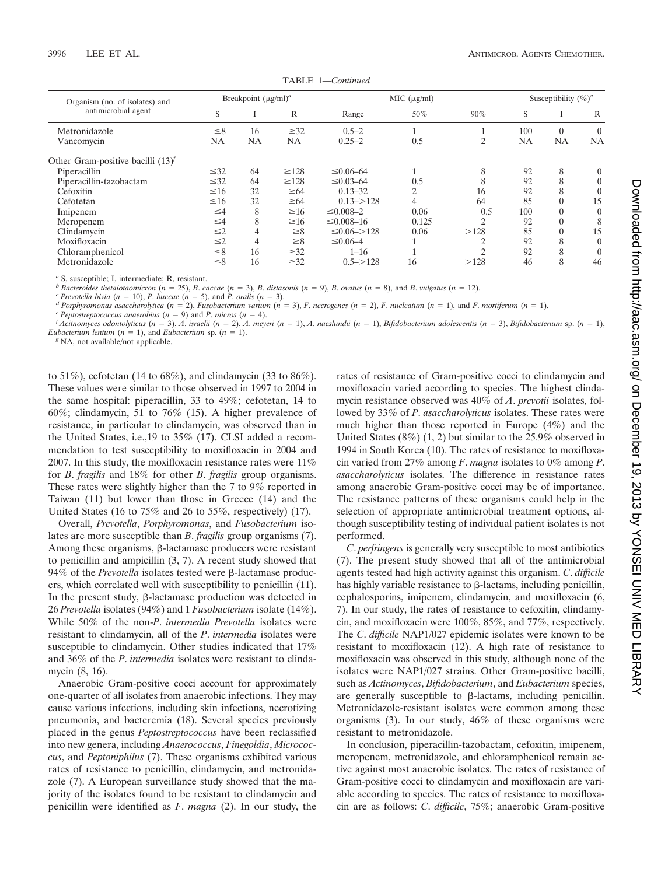| Organism (no. of isolates) and<br>antimicrobial agent |           | Breakpoint $(\mu g/ml)^a$ |              | MIC (µg/ml)          |           |                | Susceptibility $(\%)^a$ |          |                |
|-------------------------------------------------------|-----------|---------------------------|--------------|----------------------|-----------|----------------|-------------------------|----------|----------------|
|                                                       | S         |                           | $\mathbb{R}$ | Range                | 50%       | 90%            | S                       |          | R              |
| Metronidazole                                         | $\leq 8$  | 16                        | $\geq 32$    | $0.5 - 2$            |           |                | 100                     | $\Omega$ | $\overline{0}$ |
| Vancomycin                                            | NA        | <b>NA</b>                 | NA           | $0.25 - 2$           | 0.5       | $\overline{c}$ | NA                      | NA       | <b>NA</b>      |
| Other Gram-positive bacilli $(13)^f$                  |           |                           |              |                      |           |                |                         |          |                |
| Piperacillin                                          | $\leq 32$ | 64                        | $\geq 128$   | $\leq 0.06 - 64$     |           | 8              | 92                      | 8        | 0              |
| Piperacillin-tazobactam                               | $\leq 32$ | 64                        | $\geq$ 128   | $\leq 0.03 - 64$     | 0.5       | 8              | 92                      | 8        | 0              |
| Cefoxitin                                             | $\leq 16$ | 32                        | $\geq 64$    | $0.13 - 32$          | $\bigcap$ | 16             | 92                      | 8        |                |
| Cefotetan                                             | $\leq 16$ | 32                        | $\geq 64$    | $0.13 - > 128$       | 4         | 64             | 85                      | 0        | 15             |
| Imipenem                                              | $\leq 4$  | 8                         | $\geq 16$    | $\leq 0.008 - 2$     | 0.06      | 0.5            | 100                     | 0        | $\theta$       |
| Meropenem                                             | $\leq 4$  | 8                         | $\geq 16$    | $\leq 0.008 - 16$    | 0.125     | $\mathcal{D}$  | 92                      |          | 8              |
| Clindamycin                                           | $\leq$ 2  | 4                         | $\geq 8$     | $\leq 0.06 \leq 128$ | 0.06      | >128           | 85                      | 0        | 15             |
| Moxifloxacin                                          | $\leq$ 2  | 4                         | $\geq 8$     | $\leq 0.06 - 4$      |           | ◠              | 92                      | 8        |                |
| Chloramphenicol                                       | $\leq 8$  | 16                        | $\geq 32$    | $1 - 16$             |           | $\bigcap$      | 92                      | 8        |                |
| Metronidazole                                         | $\leq 8$  | 16                        | $\geq 32$    | $0.5 - > 128$        | 16        | >128           | 46                      | 8        | 46             |

TABLE 1—*Continued*

<sup>*a*</sup> S, susceptible; I, intermediate; R, resistant.<br>*b Bacteroides thetaiotaomicron* ( $n = 25$ ), *B. caccae* ( $n = 3$ ), *B. distasonis* ( $n = 9$ ), *B. ovatus* ( $n = 8$ ), and *B. vulgatus* ( $n = 12$ ).

<sup>c</sup> Prevotella bivia ( $n = 10$ ), P. buccae ( $n = 5$ ), and P. oralis ( $n = 3$ ).<br>
<sup>d</sup> Porphyromonas asaccharolytica ( $n = 2$ ), Fusobacterium varium ( $n = 3$ ), F. necrogenes ( $n = 2$ ), F. nucleatum ( $n = 1$ ), and F. mortiferum ( $n =$ *Eubacterium lentum* ( $n = 1$ ), and *Eubacterium* sp. ( $n = 1$ ). *g* NA, not available/not applicable.

to 51%), cefotetan (14 to 68%), and clindamycin (33 to 86%). These values were similar to those observed in 1997 to 2004 in the same hospital: piperacillin, 33 to 49%; cefotetan, 14 to 60%; clindamycin, 51 to 76% (15). A higher prevalence of resistance, in particular to clindamycin, was observed than in the United States, i.e.,19 to 35% (17). CLSI added a recommendation to test susceptibility to moxifloxacin in 2004 and 2007. In this study, the moxifloxacin resistance rates were 11% for *B*. *fragilis* and 18% for other *B*. *fragilis* group organisms. These rates were slightly higher than the 7 to 9% reported in Taiwan (11) but lower than those in Greece (14) and the United States (16 to 75% and 26 to 55%, respectively) (17).

Overall, *Prevotella*, *Porphyromonas*, and *Fusobacterium* isolates are more susceptible than *B*. *fragilis* group organisms (7). Among these organisms,  $\beta$ -lactamase producers were resistant to penicillin and ampicillin (3, 7). A recent study showed that 94% of the *Prevotella* isolates tested were  $\beta$ -lactamase producers, which correlated well with susceptibility to penicillin (11). In the present study,  $\beta$ -lactamase production was detected in 26 *Prevotella* isolates (94%) and 1 *Fusobacterium* isolate (14%). While 50% of the non-*P*. *intermedia Prevotella* isolates were resistant to clindamycin, all of the *P*. *intermedia* isolates were susceptible to clindamycin. Other studies indicated that 17% and 36% of the *P*. *intermedia* isolates were resistant to clindamycin (8, 16).

Anaerobic Gram-positive cocci account for approximately one-quarter of all isolates from anaerobic infections. They may cause various infections, including skin infections, necrotizing pneumonia, and bacteremia (18). Several species previously placed in the genus *Peptostreptococcus* have been reclassified into new genera, including *Anaerococcus*, *Finegoldia*, *Micrococcus*, and *Peptoniphilus* (7). These organisms exhibited various rates of resistance to penicillin, clindamycin, and metronidazole (7). A European surveillance study showed that the majority of the isolates found to be resistant to clindamycin and penicillin were identified as *F*. *magna* (2). In our study, the rates of resistance of Gram-positive cocci to clindamycin and moxifloxacin varied according to species. The highest clindamycin resistance observed was 40% of *A*. *prevotii* isolates, followed by 33% of *P*. *asaccharolyticus* isolates. These rates were much higher than those reported in Europe (4%) and the United States  $(8\%)$   $(1, 2)$  but similar to the 25.9% observed in 1994 in South Korea (10). The rates of resistance to moxifloxacin varied from 27% among *F*. *magna* isolates to 0% among *P*. *asaccharolyticus* isolates. The difference in resistance rates among anaerobic Gram-positive cocci may be of importance. The resistance patterns of these organisms could help in the selection of appropriate antimicrobial treatment options, although susceptibility testing of individual patient isolates is not performed.

*C*. *perfringens* is generally very susceptible to most antibiotics (7). The present study showed that all of the antimicrobial agents tested had high activity against this organism. *C*. *difficile* has highly variable resistance to  $\beta$ -lactams, including penicillin, cephalosporins, imipenem, clindamycin, and moxifloxacin (6, 7). In our study, the rates of resistance to cefoxitin, clindamycin, and moxifloxacin were 100%, 85%, and 77%, respectively. The *C*. *difficile* NAP1/027 epidemic isolates were known to be resistant to moxifloxacin (12). A high rate of resistance to moxifloxacin was observed in this study, although none of the isolates were NAP1/027 strains. Other Gram-positive bacilli, such as *Actinomyces*, *Bifidobacterium*, and *Eubacterium* species, are generally susceptible to  $\beta$ -lactams, including penicillin. Metronidazole-resistant isolates were common among these organisms (3). In our study, 46% of these organisms were resistant to metronidazole.

In conclusion, piperacillin-tazobactam, cefoxitin, imipenem, meropenem, metronidazole, and chloramphenicol remain active against most anaerobic isolates. The rates of resistance of Gram-positive cocci to clindamycin and moxifloxacin are variable according to species. The rates of resistance to moxifloxacin are as follows: *C*. *difficile*, 75%; anaerobic Gram-positive